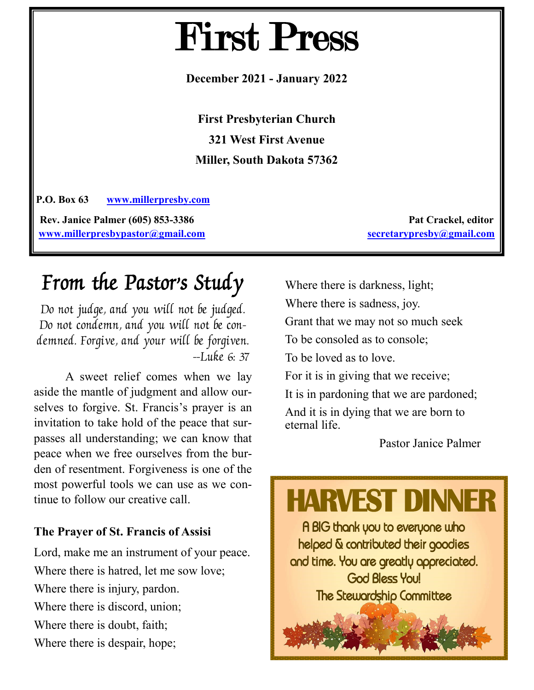# First Press

**December 2021 - January 2022**

**First Presbyterian Church 321 West First Avenue Miller, South Dakota 57362**

**P.O. Box 63 [www.millerpresby.com](http://www.millerpresby.com)**

**[www.millerpresbypastor@gmail.com](http://www.millerpresbypastor@gmail.com) [secretarypresby@gmail.com](mailto:secretarypresby@gmail.com)**

**Rev. Janice Palmer (605) 853-3386 Pat Crackel, editor** 

## From the Pastor's Study

Do not judge, and you will not be judged. Do not condemn, and you will not be condemned. Forgive, and your will be forgiven. --Luke 6: 37

A sweet relief comes when we lay aside the mantle of judgment and allow ourselves to forgive. St. Francis's prayer is an invitation to take hold of the peace that surpasses all understanding; we can know that peace when we free ourselves from the burden of resentment. Forgiveness is one of the most powerful tools we can use as we continue to follow our creative call.

#### **The Prayer of St. Francis of Assisi**

Lord, make me an instrument of your peace. Where there is hatred, let me sow love; Where there is injury, pardon. Where there is discord, union; Where there is doubt, faith; Where there is despair, hope;

Where there is darkness, light; Where there is sadness, joy. Grant that we may not so much seek To be consoled as to console; To be loved as to love. For it is in giving that we receive; It is in pardoning that we are pardoned; And it is in dying that we are born to eternal life.

Pastor Janice Palmer

## **HARVEST DINNER**

A BIG thank you to everyone who helped & contributed their goodies and time. You are greatly appreciated. **God Bless You!** The Stewardship Committee

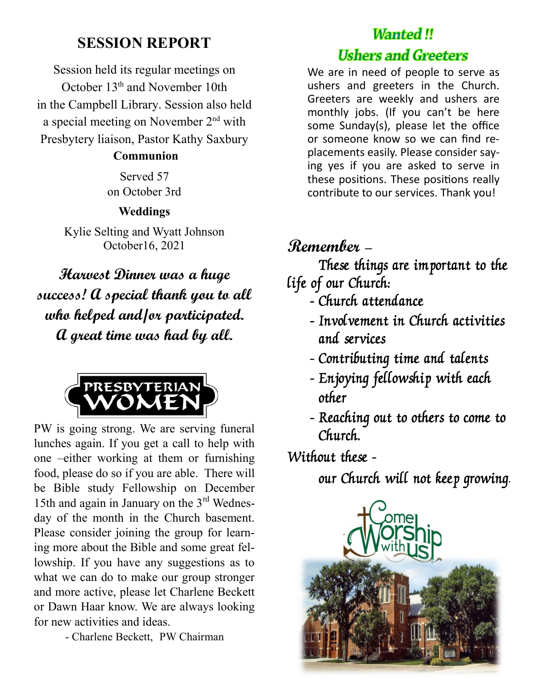## **SESSION REPORT**

Session held its regular meetings on October 13<sup>th</sup> and November 10th in the Campbell Library. Session also held a special meeting on November 2nd with Presbytery liaison, Pastor Kathy Saxbury

#### **Communion**

Served 57 on October 3rd

#### **Weddings**

Kylie Selting and Wyatt Johnson October16, 2021

**Harvest Dinner was a huge success! A special thank you to all who helped and/or participated. A great time was had by all.**



PW is going strong. We are serving funeral lunches again. If you get a call to help with one –either working at them or furnishing food, please do so if you are able. There will be Bible study Fellowship on December 15th and again in January on the 3rd Wednesday of the month in the Church basement. Please consider joining the group for learning more about the Bible and some great fellowship. If you have any suggestions as to what we can do to make our group stronger and more active, please let Charlene Beckett or Dawn Haar know. We are always looking for new activities and ideas.

- Charlene Beckett, PW Chairman

### **Wanted!!**

## **Ushers and Greeters**

We are in need of people to serve as ushers and greeters in the Church. Greeters are weekly and ushers are monthly jobs. (If you can't be here some Sunday(s), please let the office or someone know so we can find replacements easily. Please consider saying yes if you are asked to serve in these positions. These positions really contribute to our services. Thank you!

## **Remember** –

These things are important to the life of our Church:

- Church attendance
- Involvement in Church activities and services
- Contributing time and talents
- Enjoying fellowship with each other
- Reaching out to others to come to Church.

Without these -

our Church will not keep growing.

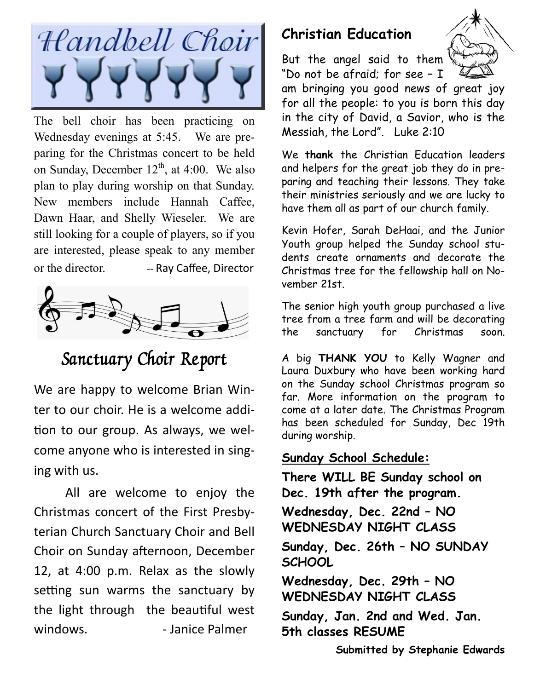

The bell choir has been practicing on Wednesday evenings at 5:45. We are preparing for the Christmas concert to be held on Sunday, December  $12^{th}$ , at 4:00. We also plan to play during worship on that Sunday. New members include Hannah Caffee, Dawn Haar, and Shelly Wieseler. We are still looking for a couple of players, so if you are interested, please speak to any member or the director. -- Ray Caffee, Director



Sanctuary Choir Report

We are happy to welcome Brian Winter to our choir. He is a welcome addition to our group. As always, we welcome anyone who is interested in singing with us.

All are welcome to enjoy the Christmas concert of the First Presbyterian Church Sanctuary Choir and Bell Choir on Sunday afternoon, December 12, at 4:00 p.m. Relax as the slowly setting sun warms the sanctuary by the light through the beautiful west windows. The Summer - Janice Palmer

## **Christian Education**

But the angel said to them "Do not be afraid; for see – I



am bringing you good news of great joy for all the people: to you is born this day in the city of David, a Savior, who is the Messiah, the Lord". Luke 2:10

We **thank** the Christian Education leaders and helpers for the great job they do in preparing and teaching their lessons. They take their ministries seriously and we are lucky to have them all as part of our church family.

Kevin Hofer, Sarah DeHaai, and the Junior Youth group helped the Sunday school students create ornaments and decorate the Christmas tree for the fellowship hall on November 21st.

The senior high youth group purchased a live tree from a tree farm and will be decorating the sanctuary for Christmas soon.

A big **THANK YOU** to Kelly Wagner and Laura Duxbury who have been working hard on the Sunday school Christmas program so far. More information on the program to come at a later date. The Christmas Program has been scheduled for Sunday, Dec 19th during worship.

#### **Sunday School Schedule:**

**There WILL BE Sunday school on Dec. 19th after the program.**

**Wednesday, Dec. 22nd – NO WEDNESDAY NIGHT CLASS**

**Sunday, Dec. 26th – NO SUNDAY SCHOOL**

**Wednesday, Dec. 29th – NO WEDNESDAY NIGHT CLASS**

**Sunday, Jan. 2nd and Wed. Jan. 5th classes RESUME** 

**Submitted by Stephanie Edwards**